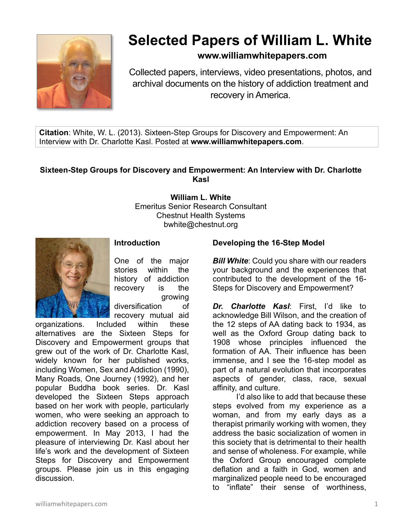

# **Selected Papers of William L. White**

# **www.williamwhitepapers.com**

Collected papers, interviews, video presentations, photos, and archival documents on the history of addiction treatment and recovery in America.

**Citation**: White, W. L. (2013). Sixteen-Step Groups for Discovery and Empowerment: An Interview with Dr. Charlotte Kasl. Posted at **www.williamwhitepapers.com**.

### **Sixteen-Step Groups for Discovery and Empowerment: An Interview with Dr. Charlotte Kasl**

**William L. White** Emeritus Senior Research Consultant Chestnut Health Systems bwhite@chestnut.org



# **Introduction**

One of the major stories within the history of addiction recovery is the growing diversification of recovery mutual aid

organizations. Included within these alternatives are the Sixteen Steps for Discovery and Empowerment groups that grew out of the work of Dr. Charlotte Kasl, widely known for her published works, including Women, Sex and Addiction (1990), Many Roads, One Journey (1992), and her popular Buddha book series. Dr. Kasl developed the Sixteen Steps approach based on her work with people, particularly women, who were seeking an approach to addiction recovery based on a process of empowerment. In May 2013, I had the pleasure of interviewing Dr. Kasl about her life's work and the development of Sixteen Steps for Discovery and Empowerment groups. Please join us in this engaging discussion.

# **Developing the 16-Step Model**

*Bill White*: Could you share with our readers your background and the experiences that contributed to the development of the 16- Steps for Discovery and Empowerment?

*Dr. Charlotte Kasl*: First, I'd like to acknowledge Bill Wilson, and the creation of the 12 steps of AA dating back to 1934, as well as the Oxford Group dating back to 1908 whose principles influenced the formation of AA. Their influence has been immense, and I see the 16-step model as part of a natural evolution that incorporates aspects of gender, class, race, sexual affinity, and culture.

I'd also like to add that because these steps evolved from my experience as a woman, and from my early days as a therapist primarily working with women, they address the basic socialization of women in this society that is detrimental to their health and sense of wholeness. For example, while the Oxford Group encouraged complete deflation and a faith in God, women and marginalized people need to be encouraged to "inflate" their sense of worthiness,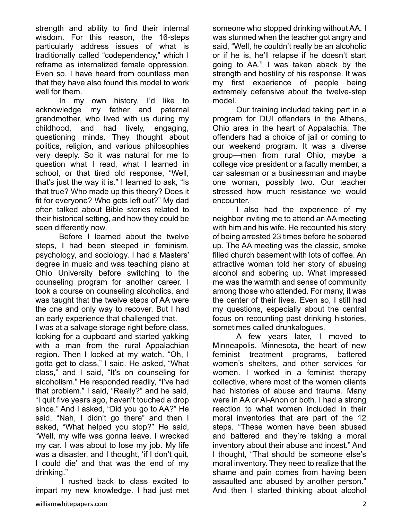strength and ability to find their internal wisdom. For this reason, the 16-steps particularly address issues of what is traditionally called "codependency," which I reframe as internalized female oppression. Even so, I have heard from countless men that they have also found this model to work well for them.

In my own history, I'd like to acknowledge my father and paternal grandmother, who lived with us during my childhood, and had lively, engaging, questioning minds. They thought about politics, religion, and various philosophies very deeply. So it was natural for me to question what I read, what I learned in school, or that tired old response, "Well, that's just the way it is." I learned to ask, "Is that true? Who made up this theory? Does it fit for everyone? Who gets left out?" My dad often talked about Bible stories related to their historical setting, and how they could be seen differently now.

Before I learned about the twelve steps, I had been steeped in feminism, psychology, and sociology. I had a Masters' degree in music and was teaching piano at Ohio University before switching to the counseling program for another career. I took a course on counseling alcoholics, and was taught that the twelve steps of AA were the one and only way to recover. But I had an early experience that challenged that.

I was at a salvage storage right before class, looking for a cupboard and started yakking with a man from the rural Appalachian region. Then I looked at my watch. "Oh, I gotta get to class," I said. He asked, "What class," and I said, "It's on counseling for alcoholism." He responded readily, "I've had that problem." I said, "Really?" and he said, "I quit five years ago, haven't touched a drop since." And I asked, "Did you go to AA?" He said, "Nah, I didn't go there" and then I asked, "What helped you stop?" He said, "Well, my wife was gonna leave. I wrecked my car. I was about to lose my job. My life was a disaster, and I thought, 'if I don't quit, I could die' and that was the end of my drinking."

I rushed back to class excited to impart my new knowledge. I had just met someone who stopped drinking without AA. I was stunned when the teacher got angry and said, "Well, he couldn't really be an alcoholic or if he is, he'll relapse if he doesn't start going to AA." I was taken aback by the strength and hostility of his response. It was my first experience of people being extremely defensive about the twelve-step model.

Our training included taking part in a program for DUI offenders in the Athens, Ohio area in the heart of Appalachia. The offenders had a choice of jail or coming to our weekend program. It was a diverse group—men from rural Ohio, maybe a college vice president or a faculty member, a car salesman or a businessman and maybe one woman, possibly two. Our teacher stressed how much resistance we would encounter.

I also had the experience of my neighbor inviting me to attend an AA meeting with him and his wife. He recounted his story of being arrested 23 times before he sobered up. The AA meeting was the classic, smoke filled church basement with lots of coffee. An attractive woman told her story of abusing alcohol and sobering up. What impressed me was the warmth and sense of community among those who attended. For many, it was the center of their lives. Even so, I still had my questions, especially about the central focus on recounting past drinking histories, sometimes called drunkalogues.

A few years later, I moved to Minneapolis, Minnesota, the heart of new feminist treatment programs, battered women's shelters, and other services for women. I worked in a feminist therapy collective, where most of the women clients had histories of abuse and trauma. Many were in AA or Al-Anon or both. I had a strong reaction to what women included in their moral inventories that are part of the 12 steps. "These women have been abused and battered and they're taking a moral inventory about their abuse and incest." And I thought, "That should be someone else's moral inventory. They need to realize that the shame and pain comes from having been assaulted and abused by another person." And then I started thinking about alcohol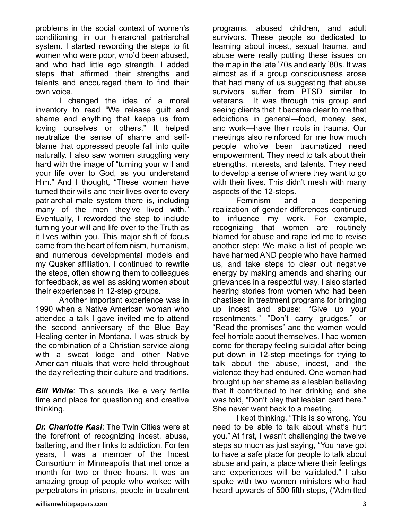problems in the social context of women's conditioning in our hierarchal patriarchal system. I started rewording the steps to fit women who were poor, who'd been abused, and who had little ego strength. I added steps that affirmed their strengths and talents and encouraged them to find their own voice.

I changed the idea of a moral inventory to read "We release guilt and shame and anything that keeps us from loving ourselves or others." It helped neutralize the sense of shame and selfblame that oppressed people fall into quite naturally. I also saw women struggling very hard with the image of "turning your will and your life over to God, as you understand Him." And I thought, "These women have turned their wills and their lives over to every patriarchal male system there is, including many of the men they've lived with." Eventually, I reworded the step to include turning your will and life over to the Truth as it lives within you. This major shift of focus came from the heart of feminism, humanism, and numerous developmental models and my Quaker affiliation. I continued to rewrite the steps, often showing them to colleagues for feedback, as well as asking women about their experiences in 12-step groups.

Another important experience was in 1990 when a Native American woman who attended a talk I gave invited me to attend the second anniversary of the Blue Bay Healing center in Montana. I was struck by the combination of a Christian service along with a sweat lodge and other Native American rituals that were held throughout the day reflecting their culture and traditions.

*Bill White:* This sounds like a very fertile time and place for questioning and creative thinking.

*Dr. Charlotte Kasl*: The Twin Cities were at the forefront of recognizing incest, abuse, battering, and their links to addiction. For ten years, I was a member of the Incest Consortium in Minneapolis that met once a month for two or three hours. It was an amazing group of people who worked with perpetrators in prisons, people in treatment programs, abused children, and adult survivors. These people so dedicated to learning about incest, sexual trauma, and abuse were really putting these issues on the map in the late '70s and early '80s. It was almost as if a group consciousness arose that had many of us suggesting that abuse survivors suffer from PTSD similar to veterans. It was through this group and seeing clients that it became clear to me that addictions in general—food, money, sex, and work—have their roots in trauma. Our meetings also reinforced for me how much people who've been traumatized need empowerment. They need to talk about their strengths, interests, and talents. They need to develop a sense of where they want to go with their lives. This didn't mesh with many aspects of the 12-steps.

Feminism and a deepening realization of gender differences continued to influence my work. For example, recognizing that women are routinely blamed for abuse and rape led me to revise another step: We make a list of people we have harmed AND people who have harmed us, and take steps to clear out negative energy by making amends and sharing our grievances in a respectful way. I also started hearing stories from women who had been chastised in treatment programs for bringing up incest and abuse: "Give up your resentments," "Don't carry grudges," or "Read the promises" and the women would feel horrible about themselves. I had women come for therapy feeling suicidal after being put down in 12-step meetings for trying to talk about the abuse, incest, and the violence they had endured. One woman had brought up her shame as a lesbian believing that it contributed to her drinking and she was told, "Don't play that lesbian card here." She never went back to a meeting.

I kept thinking, "This is so wrong. You need to be able to talk about what's hurt you." At first, I wasn't challenging the twelve steps so much as just saying, "You have got to have a safe place for people to talk about abuse and pain, a place where their feelings and experiences will be validated." I also spoke with two women ministers who had heard upwards of 500 fifth steps, ("Admitted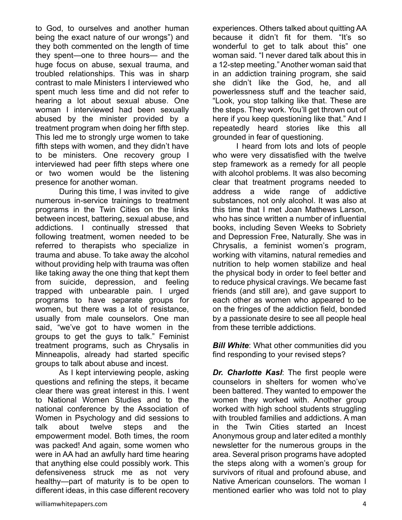to God, to ourselves and another human being the exact nature of our wrongs") and they both commented on the length of time they spent—one to three hours— and the huge focus on abuse, sexual trauma, and troubled relationships. This was in sharp contrast to male Ministers I interviewed who spent much less time and did not refer to hearing a lot about sexual abuse. One woman I interviewed had been sexually abused by the minister provided by a treatment program when doing her fifth step. This led me to strongly urge women to take fifth steps with women, and they didn't have to be ministers. One recovery group I interviewed had peer fifth steps where one or two women would be the listening presence for another woman.

During this time, I was invited to give numerous in-service trainings to treatment programs in the Twin Cities on the links between incest, battering, sexual abuse, and addictions. I continually stressed that following treatment, women needed to be referred to therapists who specialize in trauma and abuse. To take away the alcohol without providing help with trauma was often like taking away the one thing that kept them from suicide, depression, and feeling trapped with unbearable pain. I urged programs to have separate groups for women, but there was a lot of resistance, usually from male counselors. One man said, "we've got to have women in the groups to get the guys to talk." Feminist treatment programs, such as Chrysalis in Minneapolis, already had started specific groups to talk about abuse and incest.

As I kept interviewing people, asking questions and refining the steps, it became clear there was great interest in this. I went to National Women Studies and to the national conference by the Association of Women in Psychology and did sessions to talk about twelve steps and the empowerment model. Both times, the room was packed! And again, some women who were in AA had an awfully hard time hearing that anything else could possibly work. This defensiveness struck me as not very healthy—part of maturity is to be open to different ideas, in this case different recovery experiences. Others talked about quitting AA because it didn't fit for them. "It's so wonderful to get to talk about this" one woman said. "I never dared talk about this in a 12-step meeting." Another woman said that in an addiction training program, she said she didn't like the God, he, and all powerlessness stuff and the teacher said, "Look, you stop talking like that. These are the steps. They work. You'll get thrown out of here if you keep questioning like that." And I repeatedly heard stories like this all grounded in fear of questioning.

I heard from lots and lots of people who were very dissatisfied with the twelve step framework as a remedy for all people with alcohol problems. It was also becoming clear that treatment programs needed to address a wide range of addictive substances, not only alcohol. It was also at this time that I met Joan Mathews Larson, who has since written a number of influential books, including Seven Weeks to Sobriety and Depression Free, Naturally. She was in Chrysalis, a feminist women's program, working with vitamins, natural remedies and nutrition to help women stabilize and heal the physical body in order to feel better and to reduce physical cravings. We became fast friends (and still are), and gave support to each other as women who appeared to be on the fringes of the addiction field, bonded by a passionate desire to see all people heal from these terrible addictions.

*Bill White:* What other communities did you find responding to your revised steps?

*Dr. Charlotte Kasl*: The first people were counselors in shelters for women who've been battered. They wanted to empower the women they worked with. Another group worked with high school students struggling with troubled families and addictions. A man in the Twin Cities started an Incest Anonymous group and later edited a monthly newsletter for the numerous groups in the area. Several prison programs have adopted the steps along with a women's group for survivors of ritual and profound abuse, and Native American counselors. The woman I mentioned earlier who was told not to play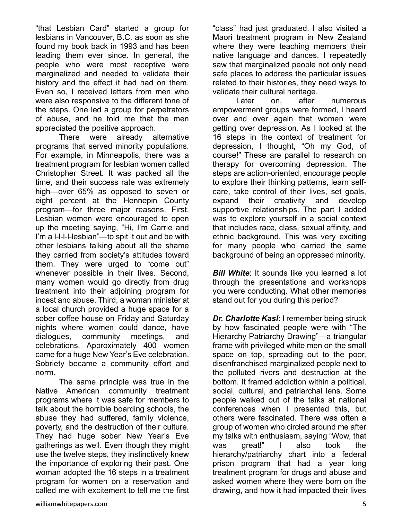"that Lesbian Card" started a group for lesbians in Vancouver, B.C. as soon as she found my book back in 1993 and has been leading them ever since. In general, the people who were most receptive were marginalized and needed to validate their history and the effect it had had on them. Even so, I received letters from men who were also responsive to the different tone of the steps. One led a group for perpetrators of abuse, and he told me that the men appreciated the positive approach.

There were already alternative programs that served minority populations. For example, in Minneapolis, there was a treatment program for lesbian women called Christopher Street. It was packed all the time, and their success rate was extremely high—over 65% as opposed to seven or eight percent at the Hennepin County program—for three major reasons. First, Lesbian women were encouraged to open up the meeting saying, "Hi, I'm Carrie and I'm a l-l-l-l-lesbian"—to spit it out and be with other lesbians talking about all the shame they carried from society's attitudes toward them. They were urged to "come out" whenever possible in their lives. Second, many women would go directly from drug treatment into their adjoining program for incest and abuse. Third, a woman minister at a local church provided a huge space for a sober coffee house on Friday and Saturday nights where women could dance, have dialogues, community meetings, and celebrations. Approximately 400 women came for a huge New Year's Eve celebration. Sobriety became a community effort and norm.

The same principle was true in the Native American community treatment programs where it was safe for members to talk about the horrible boarding schools, the abuse they had suffered, family violence, poverty, and the destruction of their culture. They had huge sober New Year's Eve gatherings as well. Even though they might use the twelve steps, they instinctively knew the importance of exploring their past. One woman adopted the 16 steps in a treatment program for women on a reservation and called me with excitement to tell me the first "class" had just graduated. I also visited a Maori treatment program in New Zealand where they were teaching members their native language and dances. I repeatedly saw that marginalized people not only need safe places to address the particular issues related to their histories, they need ways to validate their cultural heritage.

Later on, after numerous empowerment groups were formed, I heard over and over again that women were getting over depression. As I looked at the 16 steps in the context of treatment for depression, I thought, "Oh my God, of course!" These are parallel to research on therapy for overcoming depression. The steps are action-oriented, encourage people to explore their thinking patterns, learn selfcare, take control of their lives, set goals, expand their creativity and develop supportive relationships. The part I added was to explore yourself in a social context that includes race, class, sexual affinity, and ethnic background. This was very exciting for many people who carried the same background of being an oppressed minority.

*Bill White*: It sounds like you learned a lot through the presentations and workshops you were conducting. What other memories stand out for you during this period?

*Dr. Charlotte Kasl*: I remember being struck by how fascinated people were with "The Hierarchy Patriarchy Drawing"—a triangular frame with privileged white men on the small space on top, spreading out to the poor, disenfranchised marginalized people next to the polluted rivers and destruction at the bottom. It framed addiction within a political, social, cultural, and patriarchal lens. Some people walked out of the talks at national conferences when I presented this, but others were fascinated. There was often a group of women who circled around me after my talks with enthusiasm, saying "Wow, that was great!" I also took the hierarchy/patriarchy chart into a federal prison program that had a year long treatment program for drugs and abuse and asked women where they were born on the drawing, and how it had impacted their lives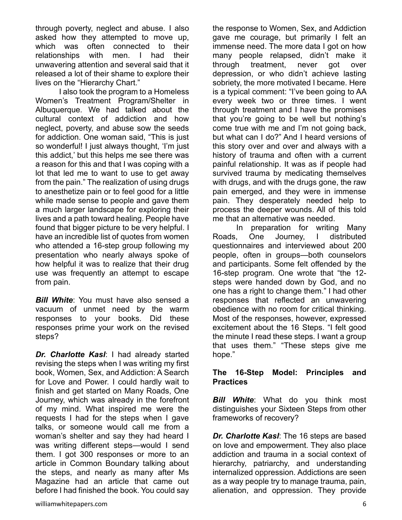through poverty, neglect and abuse. I also asked how they attempted to move up, which was often connected to their relationships with men. I had their unwavering attention and several said that it released a lot of their shame to explore their lives on the "Hierarchy Chart."

I also took the program to a Homeless Women's Treatment Program/Shelter in Albuquerque. We had talked about the cultural context of addiction and how neglect, poverty, and abuse sow the seeds for addiction. One woman said, "This is just so wonderful! I just always thought, 'I'm just this addict,' but this helps me see there was a reason for this and that I was coping with a lot that led me to want to use to get away from the pain." The realization of using drugs to anesthetize pain or to feel good for a little while made sense to people and gave them a much larger landscape for exploring their lives and a path toward healing. People have found that bigger picture to be very helpful. I have an incredible list of quotes from women who attended a 16-step group following my presentation who nearly always spoke of how helpful it was to realize that their drug use was frequently an attempt to escape from pain.

*Bill White:* You must have also sensed a vacuum of unmet need by the warm responses to your books. Did these responses prime your work on the revised steps?

*Dr. Charlotte Kasl*: I had already started revising the steps when I was writing my first book, Women, Sex, and Addiction: A Search for Love and Power. I could hardly wait to finish and get started on Many Roads, One Journey, which was already in the forefront of my mind. What inspired me were the requests I had for the steps when I gave talks, or someone would call me from a woman's shelter and say they had heard I was writing different steps—would I send them. I got 300 responses or more to an article in Common Boundary talking about the steps, and nearly as many after Ms Magazine had an article that came out before I had finished the book. You could say the response to Women, Sex, and Addiction gave me courage, but primarily I felt an immense need. The more data I got on how many people relapsed, didn't make it through treatment, never got over depression, or who didn't achieve lasting sobriety, the more motivated I became. Here is a typical comment: "I've been going to AA every week two or three times. I went through treatment and I have the promises that you're going to be well but nothing's come true with me and I'm not going back, but what can I do?" And I heard versions of this story over and over and always with a history of trauma and often with a current painful relationship. It was as if people had survived trauma by medicating themselves with drugs, and with the drugs gone, the raw pain emerged, and they were in immense pain. They desperately needed help to process the deeper wounds. All of this told me that an alternative was needed.

In preparation for writing Many Roads, One Journey, I distributed questionnaires and interviewed about 200 people, often in groups—both counselors and participants. Some felt offended by the 16-step program. One wrote that "the 12 steps were handed down by God, and no one has a right to change them." I had other responses that reflected an unwavering obedience with no room for critical thinking. Most of the responses, however, expressed excitement about the 16 Steps. "I felt good the minute I read these steps. I want a group that uses them." "These steps give me hope."

#### **The 16-Step Model: Principles and Practices**

*Bill White*: What do you think most distinguishes your Sixteen Steps from other frameworks of recovery?

*Dr. Charlotte Kasl*: The 16 steps are based on love and empowerment. They also place addiction and trauma in a social context of hierarchy, patriarchy, and understanding internalized oppression. Addictions are seen as a way people try to manage trauma, pain, alienation, and oppression. They provide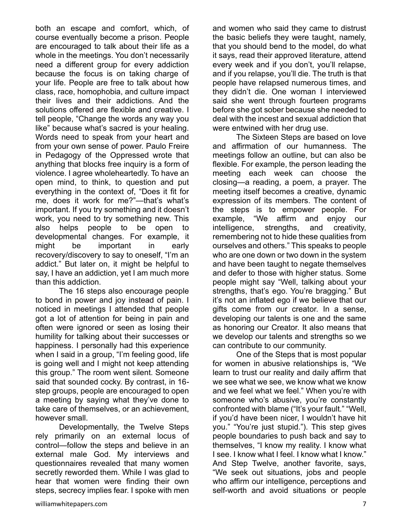both an escape and comfort, which, of course eventually become a prison. People are encouraged to talk about their life as a whole in the meetings. You don't necessarily need a different group for every addiction because the focus is on taking charge of your life. People are free to talk about how class, race, homophobia, and culture impact their lives and their addictions. And the solutions offered are flexible and creative. I tell people, "Change the words any way you like" because what's sacred is your healing. Words need to speak from your heart and from your own sense of power. Paulo Freire in Pedagogy of the Oppressed wrote that anything that blocks free inquiry is a form of violence. I agree wholeheartedly. To have an open mind, to think, to question and put everything in the context of, "Does it fit for me, does it work for me?"—that's what's important. If you try something and it doesn't work, you need to try something new. This also helps people to be open to developmental changes. For example, it might be important in early recovery/discovery to say to oneself, "I'm an addict." But later on, it might be helpful to say, I have an addiction, yet I am much more than this addiction.

The 16 steps also encourage people to bond in power and joy instead of pain. I noticed in meetings I attended that people got a lot of attention for being in pain and often were ignored or seen as losing their humility for talking about their successes or happiness. I personally had this experience when I said in a group, "I'm feeling good, life is going well and I might not keep attending this group." The room went silent. Someone said that sounded cocky. By contrast, in 16 step groups, people are encouraged to open a meeting by saying what they've done to take care of themselves, or an achievement, however small.

Developmentally, the Twelve Steps rely primarily on an external locus of control—follow the steps and believe in an external male God. My interviews and questionnaires revealed that many women secretly reworded them. While I was glad to hear that women were finding their own steps, secrecy implies fear. I spoke with men

and women who said they came to distrust the basic beliefs they were taught, namely, that you should bend to the model, do what it says, read their approved literature, attend every week and if you don't, you'll relapse, and if you relapse, you'll die. The truth is that people have relapsed numerous times, and they didn't die. One woman I interviewed said she went through fourteen programs before she got sober because she needed to deal with the incest and sexual addiction that were entwined with her drug use.

The Sixteen Steps are based on love and affirmation of our humanness. The meetings follow an outline, but can also be flexible. For example, the person leading the meeting each week can choose the closing—a reading, a poem, a prayer. The meeting itself becomes a creative, dynamic expression of its members. The content of the steps is to empower people. For example, "We affirm and enjoy our intelligence, strengths, and creativity, remembering not to hide these qualities from ourselves and others." This speaks to people who are one down or two down in the system and have been taught to negate themselves and defer to those with higher status. Some people might say "Well, talking about your strengths, that's ego. You're bragging." But it's not an inflated ego if we believe that our gifts come from our creator. In a sense, developing our talents is one and the same as honoring our Creator. It also means that we develop our talents and strengths so we can contribute to our community.

One of the Steps that is most popular for women in abusive relationships is, "We learn to trust our reality and daily affirm that we see what we see, we know what we know and we feel what we feel." When you're with someone who's abusive, you're constantly confronted with blame ("It's your fault." "Well, if you'd have been nicer, I wouldn't have hit you." "You're just stupid."). This step gives people boundaries to push back and say to themselves, "I know my reality. I know what I see. I know what I feel. I know what I know." And Step Twelve, another favorite, says, "We seek out situations, jobs and people who affirm our intelligence, perceptions and self-worth and avoid situations or people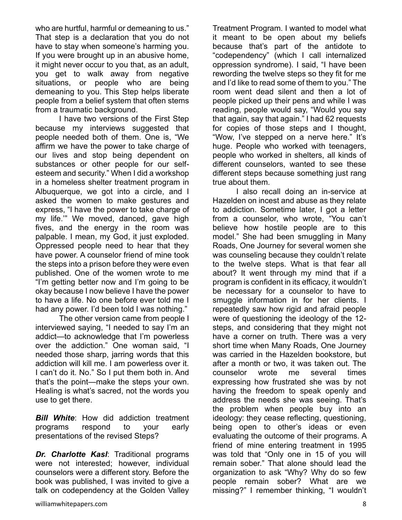who are hurtful, harmful or demeaning to us." That step is a declaration that you do not have to stay when someone's harming you. If you were brought up in an abusive home, it might never occur to you that, as an adult, you get to walk away from negative situations, or people who are being demeaning to you. This Step helps liberate people from a belief system that often stems from a traumatic background.

I have two versions of the First Step because my interviews suggested that people needed both of them. One is, "We affirm we have the power to take charge of our lives and stop being dependent on substances or other people for our selfesteem and security." When I did a workshop in a homeless shelter treatment program in Albuquerque, we got into a circle, and I asked the women to make gestures and express, "I have the power to take charge of my life.'" We moved, danced, gave high fives, and the energy in the room was palpable. I mean, my God, it just exploded. Oppressed people need to hear that they have power. A counselor friend of mine took the steps into a prison before they were even published. One of the women wrote to me "I'm getting better now and I'm going to be okay because I now believe I have the power to have a life. No one before ever told me I had any power. I'd been told I was nothing."

The other version came from people I interviewed saying, "I needed to say I'm an addict—to acknowledge that I'm powerless over the addiction." One woman said, "I needed those sharp, jarring words that this addiction will kill me. I am powerless over it. I can't do it. No." So I put them both in. And that's the point—make the steps your own. Healing is what's sacred, not the words you use to get there.

*Bill White*: How did addiction treatment programs respond to your early presentations of the revised Steps?

*Dr. Charlotte Kasl*: Traditional programs were not interested; however, individual counselors were a different story. Before the book was published, I was invited to give a talk on codependency at the Golden Valley Treatment Program. I wanted to model what it meant to be open about my beliefs because that's part of the antidote to "codependency" (which I call internalized oppression syndrome). I said, "I have been rewording the twelve steps so they fit for me and I'd like to read some of them to you." The room went dead silent and then a lot of people picked up their pens and while I was reading, people would say, "Would you say that again, say that again." I had 62 requests for copies of those steps and I thought, "Wow, I've stepped on a nerve here." It's huge. People who worked with teenagers, people who worked in shelters, all kinds of different counselors, wanted to see these different steps because something just rang true about them.

I also recall doing an in-service at Hazelden on incest and abuse as they relate to addiction. Sometime later, I got a letter from a counselor, who wrote, "You can't believe how hostile people are to this model." She had been smuggling in Many Roads, One Journey for several women she was counseling because they couldn't relate to the twelve steps. What is that fear all about? It went through my mind that if a program is confident in its efficacy, it wouldn't be necessary for a counselor to have to smuggle information in for her clients. I repeatedly saw how rigid and afraid people were of questioning the ideology of the 12 steps, and considering that they might not have a corner on truth. There was a very short time when Many Roads, One Journey was carried in the Hazelden bookstore, but after a month or two, it was taken out. The counselor wrote me several times expressing how frustrated she was by not having the freedom to speak openly and address the needs she was seeing. That's the problem when people buy into an ideology: they cease reflecting, questioning, being open to other's ideas or even evaluating the outcome of their programs. A friend of mine entering treatment in 1995 was told that "Only one in 15 of you will remain sober." That alone should lead the organization to ask "Why? Why do so few people remain sober? What are we missing?" I remember thinking, "I wouldn't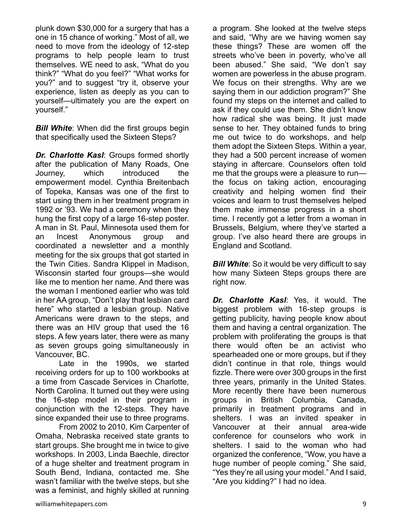plunk down \$30,000 for a surgery that has a one in 15 chance of working." Most of all, we need to move from the ideology of 12-step programs to help people learn to trust themselves. WE need to ask, "What do you think?" "What do you feel?" "What works for you?" and to suggest "try it, observe your experience, listen as deeply as you can to yourself—ultimately you are the expert on yourself."

*Bill White:* When did the first groups begin that specifically used the Sixteen Steps?

*Dr. Charlotte Kasl*: Groups formed shortly after the publication of Many Roads, One Journey, which introduced the empowerment model. Cynthia Breitenbach of Topeka, Kansas was one of the first to start using them in her treatment program in 1992 or '93. We had a ceremony when they hung the first copy of a large 16-step poster. A man in St. Paul, Minnesota used them for an Incest Anonymous group and coordinated a newsletter and a monthly meeting for the six groups that got started in the Twin Cities. Sandra Klippel in Madison, Wisconsin started four groups—she would like me to mention her name. And there was the woman I mentioned earlier who was told in her AA group, "Don't play that lesbian card here" who started a lesbian group. Native Americans were drawn to the steps, and there was an HIV group that used the 16 steps. A few years later, there were as many as seven groups going simultaneously in Vancouver, BC.

Late in the 1990s, we started receiving orders for up to 100 workbooks at a time from Cascade Services in Charlotte, North Carolina. It turned out they were using the 16-step model in their program in conjunction with the 12-steps. They have since expanded their use to three programs.

From 2002 to 2010, Kim Carpenter of Omaha, Nebraska received state grants to start groups. She brought me in twice to give workshops. In 2003, Linda Baechle, director of a huge shelter and treatment program in South Bend, Indiana, contacted me. She wasn't familiar with the twelve steps, but she was a feminist, and highly skilled at running

a program. She looked at the twelve steps and said, "Why are we having women say these things? These are women off the streets who've been in poverty, who've all been abused." She said, "We don't say women are powerless in the abuse program. We focus on their strengths. Why are we saying them in our addiction program?" She found my steps on the internet and called to ask if they could use them. She didn't know how radical she was being. It just made sense to her. They obtained funds to bring me out twice to do workshops, and help them adopt the Sixteen Steps. Within a year, they had a 500 percent increase of women staying in aftercare. Counselors often told me that the groups were a pleasure to run the focus on taking action, encouraging creativity and helping women find their voices and learn to trust themselves helped them make immense progress in a short time. I recently got a letter from a woman in Brussels, Belgium, where they've started a group. I've also heard there are groups in England and Scotland.

*Bill White:* So it would be very difficult to say how many Sixteen Steps groups there are right now.

*Dr. Charlotte Kasl*: Yes, it would. The biggest problem with 16-step groups is getting publicity, having people know about them and having a central organization. The problem with proliferating the groups is that there would often be an activist who spearheaded one or more groups, but if they didn't continue in that role, things would fizzle. There were over 300 groups in the first three years, primarily in the United States. More recently there have been numerous groups in British Columbia, Canada, primarily in treatment programs and in shelters. I was an invited speaker in Vancouver at their annual area-wide conference for counselors who work in shelters. I said to the woman who had organized the conference, "Wow, you have a huge number of people coming." She said, "Yes they're all using your model." And I said, "Are you kidding?" I had no idea.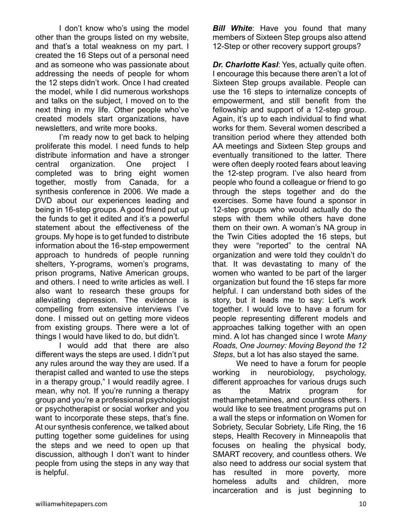I don't know who's using the model other than the groups listed on my website, and that's a total weakness on my part. I created the 16 Steps out of a personal need and as someone who was passionate about addressing the needs of people for whom the 12 steps didn't work. Once I had created the model, while I did numerous workshops and talks on the subject, I moved on to the next thing in my life. Other people who've created models start organizations, have newsletters, and write more books.

I'm ready now to get back to helping proliferate this model. I need funds to help distribute information and have a stronger central organization. One project I completed was to bring eight women together, mostly from Canada, for a synthesis conference in 2006. We made a DVD about our experiences leading and being in 16-step groups. A good friend put up the funds to get it edited and it's a powerful statement about the effectiveness of the groups. My hope is to get funded to distribute information about the 16-step empowerment approach to hundreds of people running shelters, Y-programs, women's programs, prison programs, Native American groups, and others. I need to write articles as well. I also want to research these groups for alleviating depression. The evidence is compelling from extensive interviews I've done. I missed out on getting more videos from existing groups. There were a lot of things I would have liked to do, but didn't.

I would add that there are also different ways the steps are used. I didn't put any rules around the way they are used. If a therapist called and wanted to use the steps in a therapy group," I would readily agree. I mean, why not. If you're running a therapy group and you're a professional psychologist or psychotherapist or social worker and you want to incorporate these steps, that's fine. At our synthesis conference, we talked about putting together some guidelines for using the steps and we need to open up that discussion, although I don't want to hinder people from using the steps in any way that is helpful.

**Bill White:** Have you found that many members of Sixteen Step groups also attend 12-Step or other recovery support groups?

*Dr. Charlotte Kasl*: Yes, actually quite often. I encourage this because there aren't a lot of Sixteen Step groups available. People can use the 16 steps to internalize concepts of empowerment, and still benefit from the fellowship and support of a 12-step group. Again, it's up to each individual to find what works for them. Several women described a transition period where they attended both AA meetings and Sixteen Step groups and eventually transitioned to the latter. There were often deeply rooted fears about leaving the 12-step program. I've also heard from people who found a colleague or friend to go through the steps together and do the exercises. Some have found a sponsor in 12-step groups who would actually do the steps with them while others have done them on their own. A woman's NA group in the Twin Cities adopted the 16 steps, but they were "reported" to the central NA organization and were told they couldn't do that. It was devastating to many of the women who wanted to be part of the larger organization but found the 16 steps far more helpful. I can understand both sides of the story, but it leads me to say: Let's work together. I would love to have a forum for people representing different models and approaches talking together with an open mind. A lot has changed since I wrote *Many Roads, One Journey: Moving Beyond the 12 Steps*, but a lot has also stayed the same.

We need to have a forum for people working in neurobiology, psychology, different approaches for various drugs such as the Matrix program for methamphetamines, and countless others. I would like to see treatment programs put on a wall the steps or information on Women for Sobriety, Secular Sobriety, Life Ring, the 16 steps, Health Recovery in Minneapolis that focuses on healing the physical body, SMART recovery, and countless others. We also need to address our social system that has resulted in more poverty, more homeless adults and children, more incarceration and is just beginning to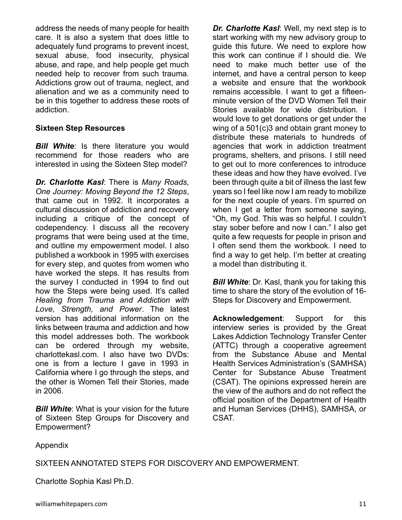address the needs of many people for health care. It is also a system that does little to adequately fund programs to prevent incest, sexual abuse, food insecurity, physical abuse, and rape, and help people get much needed help to recover from such trauma. Addictions grow out of trauma, neglect, and alienation and we as a community need to be in this together to address these roots of addiction.

#### **Sixteen Step Resources**

**Bill White:** Is there literature you would recommend for those readers who are interested in using the Sixteen Step model?

*Dr. Charlotte Kasl*: There is *Many Roads, One Journey: Moving Beyond the 12 Steps*, that came out in 1992. It incorporates a cultural discussion of addiction and recovery including a critique of the concept of codependency. I discuss all the recovery programs that were being used at the time, and outline my empowerment model. I also published a workbook in 1995 with exercises for every step, and quotes from women who have worked the steps. It has results from the survey I conducted in 1994 to find out how the Steps were being used. It's called *Healing from Trauma and Addiction with Love, Strength, and Power*. The latest version has additional information on the links between trauma and addiction and how this model addresses both. The workbook can be ordered through my website, charlottekasl.com. I also have two DVDs: one is from a lecture I gave in 1993 in California where I go through the steps, and the other is Women Tell their Stories, made in 2006.

*Bill White:* What is your vision for the future of Sixteen Step Groups for Discovery and Empowerment?

*Dr. Charlotte Kasl*: Well, my next step is to start working with my new advisory group to guide this future. We need to explore how this work can continue if I should die. We need to make much better use of the internet, and have a central person to keep a website and ensure that the workbook remains accessible. I want to get a fifteenminute version of the DVD Women Tell their Stories available for wide distribution. I would love to get donations or get under the wing of a 501(c)3 and obtain grant money to distribute these materials to hundreds of agencies that work in addiction treatment programs, shelters, and prisons. I still need to get out to more conferences to introduce these ideas and how they have evolved. I've been through quite a bit of illness the last few years so I feel like now I am ready to mobilize for the next couple of years. I'm spurred on when I get a letter from someone saying, "Oh, my God. This was so helpful. I couldn't stay sober before and now I can." I also get quite a few requests for people in prison and I often send them the workbook. I need to find a way to get help. I'm better at creating a model than distributing it.

**Bill White:** Dr. Kasl, thank you for taking this time to share the story of the evolution of 16- Steps for Discovery and Empowerment.

**Acknowledgement**: Support for this interview series is provided by the Great Lakes Addiction Technology Transfer Center (ATTC) through a cooperative agreement from the Substance Abuse and Mental Health Services Administration's (SAMHSA) Center for Substance Abuse Treatment (CSAT). The opinions expressed herein are the view of the authors and do not reflect the official position of the Department of Health and Human Services (DHHS), SAMHSA, or CSAT.

Appendix

SIXTEEN ANNOTATED STEPS FOR DISCOVERY AND EMPOWERMENT.

Charlotte Sophia Kasl Ph.D.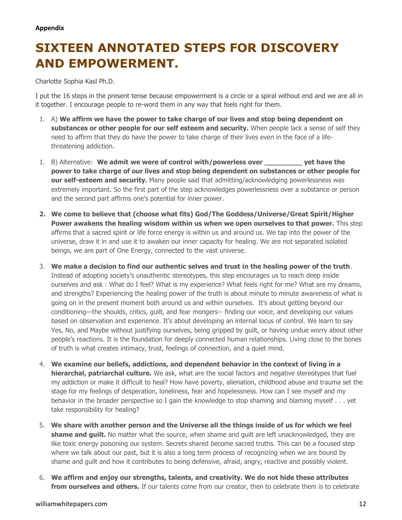# **SIXTEEN ANNOTATED STEPS FOR DISCOVERY AND EMPOWERMENT.**

Charlotte Sophia Kasl Ph.D.

I put the 16 steps in the present tense because empowerment is a circle or a spiral without end and we are all in it together. I encourage people to re-word them in any way that feels right for them.

- 1. A) **We affirm we have the power to take charge of our lives and stop being dependent on substances or other people for our self esteem and security.** When people lack a sense of self they need to affirm that they do have the power to take charge of their lives even in the face of a lifethreatening addiction.
- 1. B) Alternative: We admit we were of control with/powerless over **yet have the power to take charge of our lives and stop being dependent on substances or other people for our self-esteem and security.** Many people said that admitting/acknowledging powerlessness was extremely important. So the first part of the step acknowledges powerlessness over a substance or person and the second part affirms one's potential for inner power.
- **2. We come to believe that (choose what fits) God/The Goddess/Universe/Great Spirit/Higher Power awakens the healing wisdom within us when we open ourselves to that power.** This step affirms that a sacred spirit or life force energy is within us and around us. We tap into the power of the universe, draw it in and use it to awaken our inner capacity for healing. We are not separated isolated beings, we are part of One Energy, connected to the vast universe.
- 3. **We make a decision to find our authentic selves and trust in the healing power of the truth**. Instead of adopting society's unauthentic stereotypes, this step encourages us to reach deep inside ourselves and ask : What do I feel? What is my experience? What feels right for me? What are my dreams, and strengths? Experiencing the healing power of the truth is about minute to minute awareness of what is going on in the present moment both around us and within ourselves. It's about getting beyond our conditioning—the shoulds, critics, guilt, and fear mongers-- finding our voice, and developing our values based on observation and experience. It's about developing an internal locus of control. We learn to say Yes, No, and Maybe without justifying ourselves, being gripped by guilt, or having undue worry about other people's reactions. It is the foundation for deeply connected human relationships. Living close to the bones of truth is what creates intimacy, trust, feelings of connection, and a quiet mind.
- 4. **We examine our beliefs, addictions, and dependent behavior in the context of living in a hierarchal, patriarchal culture.** We ask, what are the social factors and negative stereotypes that fuel my addiction or make it difficult to heal? How have poverty, alienation, childhood abuse and trauma set the stage for my feelings of desperation, loneliness, fear and hopelessness. How can I see myself and my behavior in the broader perspective so I gain the knowledge to stop shaming and blaming myself . . . yet take responsibility for healing?
- 5. **We share with another person and the Universe all the things inside of us for which we feel shame and guilt.** No matter what the source, when shame and quilt are left unacknowledged, they are like toxic energy poisoning our system. Secrets shared become sacred truths. This can be a focused step where we talk about our past, but it is also a long term process of recognizing when we are bound by shame and guilt and how it contributes to being defensive, afraid, angry, reactive and possibly violent.
- 6. **We affirm and enjoy our strengths, talents, and creativity. We do not hide these attributes**  from ourselves and others. If our talents come from our creator, then to celebrate them is to celebrate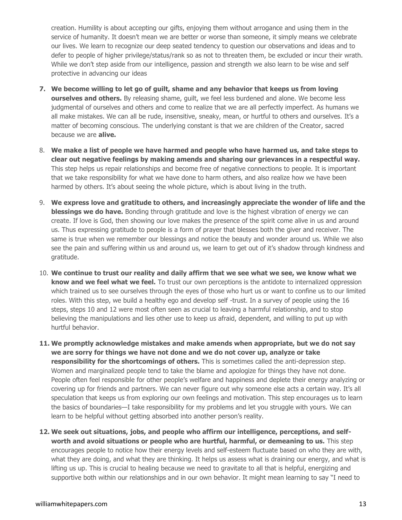creation. Humility is about accepting our gifts, enjoying them without arrogance and using them in the service of humanity. It doesn't mean we are better or worse than someone, it simply means we celebrate our lives. We learn to recognize our deep seated tendency to question our observations and ideas and to defer to people of higher privilege/status/rank so as not to threaten them, be excluded or incur their wrath. While we don't step aside from our intelligence, passion and strength we also learn to be wise and self protective in advancing our ideas

- **7. We become willing to let go of guilt, shame and any behavior that keeps us from loving ourselves and others.** By releasing shame, quilt, we feel less burdened and alone. We become less judgmental of ourselves and others and come to realize that we are all perfectly imperfect. As humans we all make mistakes. We can all be rude, insensitive, sneaky, mean, or hurtful to others and ourselves. It's a matter of becoming conscious. The underlying constant is that we are children of the Creator, sacred because we are **alive.**
- 8. **We make a list of people we have harmed and people who have harmed us, and take steps to clear out negative feelings by making amends and sharing our grievances in a respectful way.** This step helps us repair relationships and become free of negative connections to people. It is important that we take responsibility for what we have done to harm others, and also realize how we have been harmed by others. It's about seeing the whole picture, which is about living in the truth.
- 9. **We express love and gratitude to others, and increasingly appreciate the wonder of life and the blessings we do have.** Bonding through gratitude and love is the highest vibration of energy we can create. If love is God, then showing our love makes the presence of the spirit come alive in us and around us. Thus expressing gratitude to people is a form of prayer that blesses both the giver and receiver. The same is true when we remember our blessings and notice the beauty and wonder around us. While we also see the pain and suffering within us and around us, we learn to get out of it's shadow through kindness and gratitude.
- 10. **We continue to trust our reality and daily affirm that we see what we see, we know what we know and we feel what we feel.** To trust our own perceptions is the antidote to internalized oppression which trained us to see ourselves through the eyes of those who hurt us or want to confine us to our limited roles. With this step, we build a healthy ego and develop self -trust. In a survey of people using the 16 steps, steps 10 and 12 were most often seen as crucial to leaving a harmful relationship, and to stop believing the manipulations and lies other use to keep us afraid, dependent, and willing to put up with hurtful behavior.
- **11. We promptly acknowledge mistakes and make amends when appropriate, but we do not say we are sorry for things we have not done and we do not cover up, analyze or take responsibility for the shortcomings of others.** This is sometimes called the anti-depression step. Women and marginalized people tend to take the blame and apologize for things they have not done. People often feel responsible for other people's welfare and happiness and deplete their energy analyzing or covering up for friends and partners. We can never figure out why someone else acts a certain way. It's all speculation that keeps us from exploring our own feelings and motivation. This step encourages us to learn the basics of boundaries—I take responsibility for my problems and let you struggle with yours. We can learn to be helpful without getting absorbed into another person's reality.
- **12. We seek out situations, jobs, and people who affirm our intelligence, perceptions, and selfworth and avoid situations or people who are hurtful, harmful, or demeaning to us.** This step encourages people to notice how their energy levels and self-esteem fluctuate based on who they are with, what they are doing, and what they are thinking. It helps us assess what is draining our energy, and what is lifting us up. This is crucial to healing because we need to gravitate to all that is helpful, energizing and supportive both within our relationships and in our own behavior. It might mean learning to say "I need to